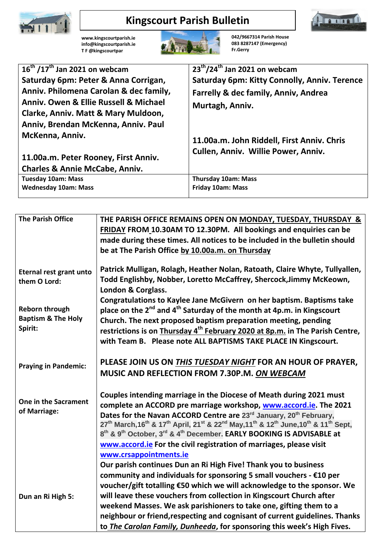

## **Kingscourt Parish Bulletin**



**[www.kingscourtparish.ie](http://www.kingscourtparish.ie/) info@kingscourtparish.ie T F @kingscourtpar** 



**042/9667314 Parish House 083 8287147 (Emergency) Fr.Gerry**

| $16^{\text{th}}$ /17 <sup>th</sup> Jan 2021 on webcam | $23^{th}/24^{th}$ Jan 2021 on webcam         |
|-------------------------------------------------------|----------------------------------------------|
| Saturday 6pm: Peter & Anna Corrigan,                  | Saturday 6pm: Kitty Connolly, Anniv. Terence |
| Anniv. Philomena Carolan & dec family,                | Farrelly & dec family, Anniv, Andrea         |
| Anniy, Owen & Ellie Russell & Michael                 | Murtagh, Anniv.                              |
| Clarke, Anniv. Matt & Mary Muldoon,                   |                                              |
| Anniv, Brendan McKenna, Anniv. Paul                   |                                              |
| McKenna, Anniv.                                       | 11.00a.m. John Riddell, First Anniv. Chris   |
|                                                       | Cullen, Anniv. Willie Power, Anniv.          |
| 11.00a.m. Peter Rooney, First Anniv.                  |                                              |
| <b>Charles &amp; Annie McCabe, Anniv.</b>             |                                              |
| <b>Tuesday 10am: Mass</b>                             | <b>Thursday 10am: Mass</b>                   |
| <b>Wednesday 10am: Mass</b>                           | <b>Friday 10am: Mass</b>                     |

| <b>The Parish Office</b>                                          | THE PARISH OFFICE REMAINS OPEN ON MONDAY, TUESDAY, THURSDAY &<br>FRIDAY FROM 10.30AM TO 12.30PM. All bookings and enquiries can be<br>made during these times. All notices to be included in the bulletin should<br>be at The Parish Office by 10.00a.m. on Thursday                                                                                                                                                                                                                                                                                                                                               |
|-------------------------------------------------------------------|--------------------------------------------------------------------------------------------------------------------------------------------------------------------------------------------------------------------------------------------------------------------------------------------------------------------------------------------------------------------------------------------------------------------------------------------------------------------------------------------------------------------------------------------------------------------------------------------------------------------|
| <b>Eternal rest grant unto</b><br>them O Lord:                    | Patrick Mulligan, Rolagh, Heather Nolan, Ratoath, Claire Whyte, Tullyallen,<br>Todd Englishby, Nobber, Loretto McCaffrey, Shercock, Jimmy McKeown,<br>London & Corglass.                                                                                                                                                                                                                                                                                                                                                                                                                                           |
| <b>Reborn through</b><br><b>Baptism &amp; The Holy</b><br>Spirit: | Congratulations to Kaylee Jane McGivern on her baptism. Baptisms take<br>place on the 2 <sup>nd</sup> and 4 <sup>th</sup> Saturday of the month at 4p.m. in Kingscourt<br>Church. The next proposed baptism preparation meeting, pending<br>restrictions is on Thursday 4 <sup>th</sup> February 2020 at 8p.m. in The Parish Centre,<br>with Team B. Please note ALL BAPTISMS TAKE PLACE IN Kingscourt.                                                                                                                                                                                                            |
| <b>Praying in Pandemic:</b>                                       | PLEASE JOIN US ON THIS TUESDAY NIGHT FOR AN HOUR OF PRAYER,<br>MUSIC AND REFLECTION FROM 7.30P.M. ON WEBCAM                                                                                                                                                                                                                                                                                                                                                                                                                                                                                                        |
| <b>One in the Sacrament</b><br>of Marriage:                       | Couples intending marriage in the Diocese of Meath during 2021 must<br>complete an ACCORD pre marriage workshop, www.accord.ie. The 2021<br>Dates for the Navan ACCORD Centre are 23 <sup>rd</sup> January, 20 <sup>th</sup> February,<br>27 <sup>th</sup> March, 16 <sup>th</sup> & 17 <sup>th</sup> April, 21 <sup>st</sup> & 22 <sup>nd</sup> May, 11 <sup>th</sup> & 12 <sup>th</sup> June, 10 <sup>th</sup> & 11 <sup>th</sup> Sept,<br>8th & 9th October, 3rd & 4th December. EARLY BOOKING IS ADVISABLE at<br>www.accord.ie For the civil registration of marriages, please visit<br>www.crsappointments.ie |
| Dun an Ri High 5:                                                 | Our parish continues Dun an Ri High Five! Thank you to business<br>community and individuals for sponsoring 5 small vouchers - $E10$ per<br>voucher/gift totalling €50 which we will acknowledge to the sponsor. We<br>will leave these vouchers from collection in Kingscourt Church after<br>weekend Masses. We ask parishioners to take one, gifting them to a<br>neighbour or friend, respecting and cognisant of current guidelines. Thanks<br>to The Carolan Family, Dunheeda, for sponsoring this week's High Fives.                                                                                        |